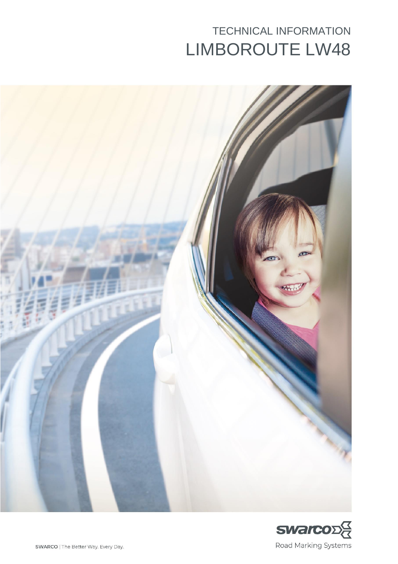# TECHNICAL INFORMATION LIMBOROUTE LW48



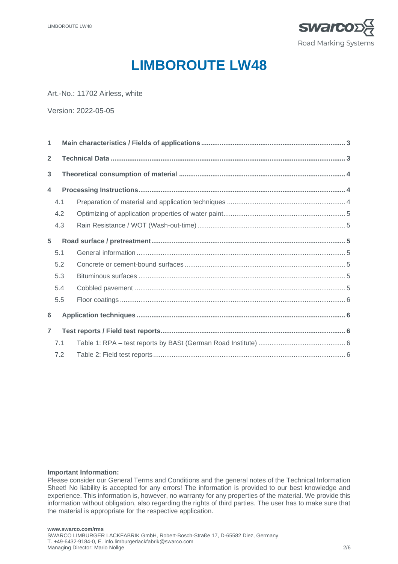

## **LIMBOROUTE LW48**

Art.-No.: 11702 Airless, white

Version: 2022-05-05

| $\mathbf{1}$   |     |  |  |  |  |  |  |  |  |  |
|----------------|-----|--|--|--|--|--|--|--|--|--|
| $\overline{2}$ |     |  |  |  |  |  |  |  |  |  |
| 3              |     |  |  |  |  |  |  |  |  |  |
| 4              |     |  |  |  |  |  |  |  |  |  |
|                | 4.1 |  |  |  |  |  |  |  |  |  |
|                | 4.2 |  |  |  |  |  |  |  |  |  |
|                | 4.3 |  |  |  |  |  |  |  |  |  |
| 5              |     |  |  |  |  |  |  |  |  |  |
|                | 5.1 |  |  |  |  |  |  |  |  |  |
|                | 5.2 |  |  |  |  |  |  |  |  |  |
|                | 5.3 |  |  |  |  |  |  |  |  |  |
|                | 5.4 |  |  |  |  |  |  |  |  |  |
|                | 5.5 |  |  |  |  |  |  |  |  |  |
| 6              |     |  |  |  |  |  |  |  |  |  |
| $\overline{7}$ |     |  |  |  |  |  |  |  |  |  |
|                | 7.1 |  |  |  |  |  |  |  |  |  |
|                | 7.2 |  |  |  |  |  |  |  |  |  |

#### **Important Information:**

Please consider our General Terms and Conditions and the general notes of the Technical Information Sheet! No liability is accepted for any errors! The information is provided to our best knowledge and experience. This information is, however, no warranty for any properties of the material. We provide this information without obligation, also regarding the rights of third parties. The user has to make sure that the material is appropriate for the respective application.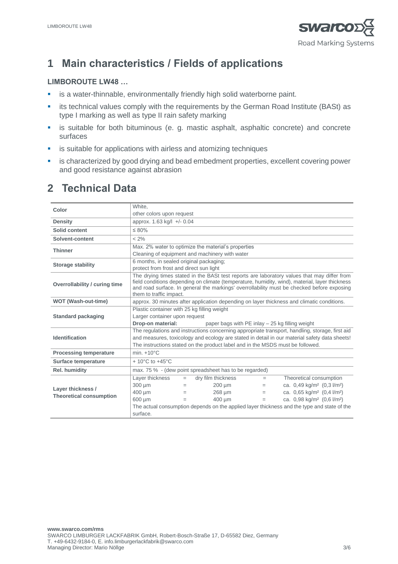

## **1 Main characteristics / Fields of applications**

#### **LIMBOROUTE LW48 …**

- **EXEDENT IS a water-thinnable, environmentally friendly high solid waterborne paint.**
- **•** its technical values comply with the requirements by the German Road Institute (BASt) as type I marking as well as type II rain safety marking
- **EXE** is suitable for both bituminous (e. g. mastic asphalt, asphaltic concrete) and concrete surfaces
- **EXEDENT IS Suitable for applications with airless and atomizing techniques**
- **EXP** is characterized by good drying and bead embedment properties, excellent covering power and good resistance against abrasion

### **2 Technical Data**

|                                | White.                                                                                                                                                                                                                                                                                                                 |  |  |  |  |  |  |
|--------------------------------|------------------------------------------------------------------------------------------------------------------------------------------------------------------------------------------------------------------------------------------------------------------------------------------------------------------------|--|--|--|--|--|--|
| Color                          | other colors upon request                                                                                                                                                                                                                                                                                              |  |  |  |  |  |  |
| <b>Density</b>                 | approx. 1.63 kg/l +/- 0.04                                                                                                                                                                                                                                                                                             |  |  |  |  |  |  |
| Solid content                  | $\leq 80\%$                                                                                                                                                                                                                                                                                                            |  |  |  |  |  |  |
| Solvent-content                | $< 2\%$                                                                                                                                                                                                                                                                                                                |  |  |  |  |  |  |
| <b>Thinner</b>                 | Max. 2% water to optimize the material's properties                                                                                                                                                                                                                                                                    |  |  |  |  |  |  |
|                                | Cleaning of equipment and machinery with water                                                                                                                                                                                                                                                                         |  |  |  |  |  |  |
| <b>Storage stability</b>       | 6 months, in sealed original packaging;                                                                                                                                                                                                                                                                                |  |  |  |  |  |  |
|                                | protect from frost and direct sun light                                                                                                                                                                                                                                                                                |  |  |  |  |  |  |
| Overrollability / curing time  | The drying times stated in the BASt test reports are laboratory values that may differ from<br>field conditions depending on climate (temperature, humidity, wind), material, layer thickness<br>and road surface. In general the markings' overrollability must be checked before exposing<br>them to traffic impact. |  |  |  |  |  |  |
| <b>WOT (Wash-out-time)</b>     | approx. 30 minutes after application depending on layer thickness and climatic conditions.                                                                                                                                                                                                                             |  |  |  |  |  |  |
|                                | Plastic container with 25 kg filling weight                                                                                                                                                                                                                                                                            |  |  |  |  |  |  |
| <b>Standard packaging</b>      | Larger container upon request                                                                                                                                                                                                                                                                                          |  |  |  |  |  |  |
|                                | Drop-on material:<br>paper bags with PE inlay - 25 kg filling weight                                                                                                                                                                                                                                                   |  |  |  |  |  |  |
|                                | The regulations and instructions concerning appropriate transport, handling, storage, first aid                                                                                                                                                                                                                        |  |  |  |  |  |  |
| Identification                 | and measures, toxicology and ecology are stated in detail in our material safety data sheets!                                                                                                                                                                                                                          |  |  |  |  |  |  |
|                                | The instructions stated on the product label and in the MSDS must be followed.                                                                                                                                                                                                                                         |  |  |  |  |  |  |
| <b>Processing temperature</b>  | min. $+10^{\circ}$ C                                                                                                                                                                                                                                                                                                   |  |  |  |  |  |  |
| Surface temperature            | $+10^{\circ}$ C to $+45^{\circ}$ C                                                                                                                                                                                                                                                                                     |  |  |  |  |  |  |
| Rel. humidity                  | max. 75 % - (dew point spreadsheet has to be regarded)                                                                                                                                                                                                                                                                 |  |  |  |  |  |  |
|                                | Layer thickness<br>dry film thickness<br>Theoretical consumption<br>$=$<br>$=$                                                                                                                                                                                                                                         |  |  |  |  |  |  |
| Layer thickness /              | ca. 0,49 kg/m <sup>2</sup> (0,3 l/m <sup>2</sup> )<br>300 um<br>$200 \mu m$<br>$=$<br>$=$                                                                                                                                                                                                                              |  |  |  |  |  |  |
| <b>Theoretical consumption</b> | 400 um<br>268 um<br>ca. 0,65 kg/m <sup>2</sup> (0,4 l/m <sup>2</sup> )<br>$=$<br>$=$                                                                                                                                                                                                                                   |  |  |  |  |  |  |
|                                | ca. 0,98 kg/m <sup>2</sup> (0,6 l/m <sup>2</sup> )<br>600 um<br>400 um<br>$=$<br>$=$                                                                                                                                                                                                                                   |  |  |  |  |  |  |
|                                | The actual consumption depends on the applied layer thickness and the type and state of the                                                                                                                                                                                                                            |  |  |  |  |  |  |
|                                | surface.                                                                                                                                                                                                                                                                                                               |  |  |  |  |  |  |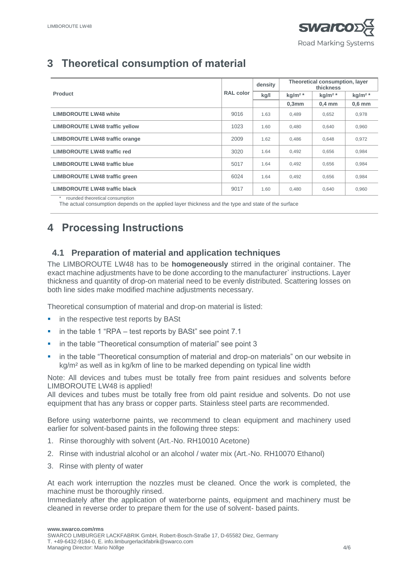## **3 Theoretical consumption of material**

|                                       | <b>RAL color</b> | density | Theoretical consumption, layer<br>thickness |                   |                   |
|---------------------------------------|------------------|---------|---------------------------------------------|-------------------|-------------------|
| <b>Product</b>                        |                  | kg/l    | kg/m <sup>2</sup>                           | kg/m <sup>2</sup> | kg/m <sup>2</sup> |
|                                       |                  |         | $0,3$ mm                                    | $0.4 \text{ mm}$  | $0,6$ mm          |
| <b>LIMBOROUTE LW48 white</b>          | 9016             | 1.63    | 0,489                                       | 0,652             | 0,978             |
| <b>LIMBOROUTE LW48 traffic yellow</b> | 1023             | 1.60    | 0.480                                       | 0,640             | 0,960             |
| <b>LIMBOROUTE LW48 traffic orange</b> | 2009             | 1.62    | 0,486                                       | 0,648             | 0,972             |
| LIMBOROUTE LW48 traffic red           | 3020             | 1.64    | 0,492                                       | 0,656             | 0,984             |
| <b>LIMBOROUTE LW48 traffic blue</b>   | 5017             | 1.64    | 0,492                                       | 0,656             | 0,984             |
| <b>LIMBOROUTE LW48 traffic green</b>  | 6024             | 1.64    | 0,492                                       | 0,656             | 0,984             |
| <b>LIMBOROUTE LW48 traffic black</b>  | 9017             | 1.60    | 0,480                                       | 0,640             | 0,960             |
| rounded theoretical consumption       |                  |         |                                             |                   |                   |

The actual consumption depends on the applied layer thickness and the type and state of the surface

### **4 Processing Instructions**

### **4.1 Preparation of material and application techniques**

The LIMBOROUTE LW48 has to be **homogeneously** stirred in the original container. The exact machine adjustments have to be done according to the manufacturer` instructions. Layer thickness and quantity of drop-on material need to be evenly distributed. Scattering losses on both line sides make modified machine adjustments necessary.

Theoretical consumption of material and drop-on material is listed:

- in the respective test reports by BASt
- in the table 1 "RPA test reports by BASt" see point 7.1
- in the table "Theoretical consumption of material" see point 3
- in the table "Theoretical consumption of material and drop-on materials" on our website in kg/m² as well as in kg/km of line to be marked depending on typical line width

Note: All devices and tubes must be totally free from paint residues and solvents before LIMBOROUTE LW48 is applied!

All devices and tubes must be totally free from old paint residue and solvents. Do not use equipment that has any brass or copper parts. Stainless steel parts are recommended.

Before using waterborne paints, we recommend to clean equipment and machinery used earlier for solvent-based paints in the following three steps:

- 1. Rinse thoroughly with solvent (Art.-No. RH10010 Acetone)
- 2. Rinse with industrial alcohol or an alcohol / water mix (Art.-No. RH10070 Ethanol)
- 3. Rinse with plenty of water

At each work interruption the nozzles must be cleaned. Once the work is completed, the machine must be thoroughly rinsed.

Immediately after the application of waterborne paints, equipment and machinery must be cleaned in reverse order to prepare them for the use of solvent- based paints.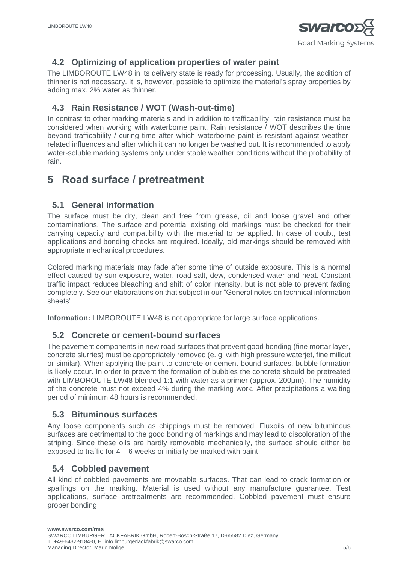

### **4.2 Optimizing of application properties of water paint**

The LIMBOROUTE LW48 in its delivery state is ready for processing. Usually, the addition of thinner is not necessary. It is, however, possible to optimize the material's spray properties by adding max. 2% water as thinner.

### **4.3 Rain Resistance / WOT (Wash-out-time)**

In contrast to other marking materials and in addition to trafficability, rain resistance must be considered when working with waterborne paint. Rain resistance / WOT describes the time beyond trafficability / curing time after which waterborne paint is resistant against weatherrelated influences and after which it can no longer be washed out. It is recommended to apply water-soluble marking systems only under stable weather conditions without the probability of rain.

### **5 Road surface / pretreatment**

### **5.1 General information**

The surface must be dry, clean and free from grease, oil and loose gravel and other contaminations. The surface and potential existing old markings must be checked for their carrying capacity and compatibility with the material to be applied. In case of doubt, test applications and bonding checks are required. Ideally, old markings should be removed with appropriate mechanical procedures.

Colored marking materials may fade after some time of outside exposure. This is a normal effect caused by sun exposure, water, road salt, dew, condensed water and heat. Constant traffic impact reduces bleaching and shift of color intensity, but is not able to prevent fading completely. See our elaborations on that subject in our "General notes on technical information sheets".

**Information:** LIMBOROUTE LW48 is not appropriate for large surface applications.

### **5.2 Concrete or cement-bound surfaces**

The pavement components in new road surfaces that prevent good bonding (fine mortar layer, concrete slurries) must be appropriately removed (e. g. with high pressure waterjet, fine millcut or similar). When applying the paint to concrete or cement-bound surfaces, bubble formation is likely occur. In order to prevent the formation of bubbles the concrete should be pretreated with LIMBOROUTE LW48 blended 1:1 with water as a primer (approx. 200µm). The humidity of the concrete must not exceed 4% during the marking work. After precipitations a waiting period of minimum 48 hours is recommended.

### **5.3 Bituminous surfaces**

Any loose components such as chippings must be removed. Fluxoils of new bituminous surfaces are detrimental to the good bonding of markings and may lead to discoloration of the striping. Since these oils are hardly removable mechanically, the surface should either be exposed to traffic for 4 – 6 weeks or initially be marked with paint.

### **5.4 Cobbled pavement**

All kind of cobbled pavements are moveable surfaces. That can lead to crack formation or spallings on the marking. Material is used without any manufacture guarantee. Test applications, surface pretreatments are recommended. Cobbled pavement must ensure proper bonding.